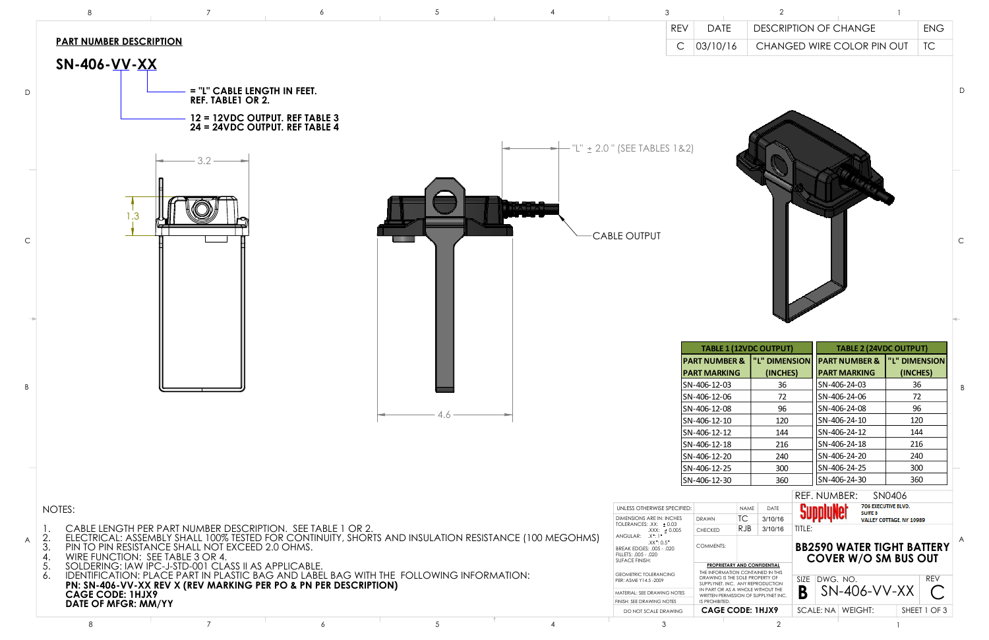

|                                 |                                                             |                                                                                                                                                                |                       | 3                                                                            |                                                                                                             | $\mathcal{P}$       |                                                                                    |                          |              |
|---------------------------------|-------------------------------------------------------------|----------------------------------------------------------------------------------------------------------------------------------------------------------------|-----------------------|------------------------------------------------------------------------------|-------------------------------------------------------------------------------------------------------------|---------------------|------------------------------------------------------------------------------------|--------------------------|--------------|
|                                 |                                                             |                                                                                                                                                                |                       | <b>REV</b>                                                                   | <b>DATE</b>                                                                                                 |                     | <b>DESCRIPTION OF CHANGE</b>                                                       | <b>ENG</b>               |              |
|                                 | <u>UMBER DESCRIPTION</u>                                    |                                                                                                                                                                |                       | $\mathsf{C}$                                                                 | 03/10/16                                                                                                    |                     | CHANGED WIRE COLOR PIN OUT                                                         | TC                       |              |
|                                 |                                                             |                                                                                                                                                                |                       |                                                                              |                                                                                                             |                     |                                                                                    |                          |              |
| 06- <u>VV</u> -XX               |                                                             |                                                                                                                                                                |                       |                                                                              |                                                                                                             |                     |                                                                                    |                          |              |
|                                 | = "L" CABLE LENGTH IN FEET.                                 |                                                                                                                                                                |                       |                                                                              |                                                                                                             |                     |                                                                                    |                          | D            |
|                                 | <b>REF. TABLE1 OR 2.</b>                                    |                                                                                                                                                                |                       |                                                                              |                                                                                                             |                     |                                                                                    |                          |              |
|                                 | 12 = 12VDC OUTPUT. REF TABLE 3                              |                                                                                                                                                                |                       |                                                                              |                                                                                                             |                     |                                                                                    |                          |              |
|                                 | 24 = 24VDC OUTPUT. REF TABLE 4                              |                                                                                                                                                                |                       |                                                                              |                                                                                                             |                     |                                                                                    |                          |              |
|                                 |                                                             |                                                                                                                                                                |                       | "L" ± 2.0 " (SEE TABLES 1&2)                                                 |                                                                                                             |                     |                                                                                    |                          |              |
|                                 | $3.2 -$                                                     |                                                                                                                                                                |                       |                                                                              |                                                                                                             |                     |                                                                                    |                          |              |
|                                 |                                                             |                                                                                                                                                                |                       |                                                                              |                                                                                                             |                     |                                                                                    |                          |              |
|                                 |                                                             |                                                                                                                                                                |                       |                                                                              |                                                                                                             |                     |                                                                                    |                          |              |
|                                 |                                                             |                                                                                                                                                                |                       |                                                                              |                                                                                                             |                     |                                                                                    |                          |              |
|                                 |                                                             |                                                                                                                                                                | <b>Report Follows</b> |                                                                              |                                                                                                             |                     |                                                                                    |                          |              |
|                                 |                                                             |                                                                                                                                                                |                       |                                                                              |                                                                                                             |                     |                                                                                    |                          |              |
|                                 |                                                             |                                                                                                                                                                |                       | <b>CABLE OUTPUT</b>                                                          |                                                                                                             |                     |                                                                                    |                          | $\mathsf{C}$ |
|                                 |                                                             |                                                                                                                                                                |                       |                                                                              |                                                                                                             |                     |                                                                                    |                          |              |
|                                 |                                                             |                                                                                                                                                                |                       |                                                                              |                                                                                                             |                     |                                                                                    |                          |              |
|                                 |                                                             |                                                                                                                                                                |                       |                                                                              |                                                                                                             |                     |                                                                                    |                          |              |
|                                 |                                                             |                                                                                                                                                                |                       |                                                                              |                                                                                                             |                     |                                                                                    |                          |              |
|                                 |                                                             |                                                                                                                                                                |                       |                                                                              |                                                                                                             |                     |                                                                                    |                          |              |
|                                 |                                                             |                                                                                                                                                                |                       |                                                                              |                                                                                                             |                     |                                                                                    |                          |              |
|                                 |                                                             |                                                                                                                                                                |                       |                                                                              |                                                                                                             |                     |                                                                                    |                          |              |
|                                 |                                                             |                                                                                                                                                                |                       |                                                                              | <b>TABLE 1 (12VDC OUTPUT)</b>                                                                               |                     | <b>TABLE 2 (24VDC OUTPUT)</b>                                                      |                          |              |
|                                 |                                                             |                                                                                                                                                                |                       |                                                                              | <b>PART MARKING</b>                                                                                         |                     | PART NUMBER &  "L" DIMENSION   PART NUMBER &  "L" DIMENSION<br><b>PART MARKING</b> | (INCHES)                 |              |
|                                 |                                                             |                                                                                                                                                                |                       |                                                                              | SN-406-12-03                                                                                                | (INCHES)<br>36      | SN-406-24-03                                                                       | 36                       |              |
|                                 |                                                             |                                                                                                                                                                |                       |                                                                              | SN-406-12-06                                                                                                | 72                  | SN-406-24-06                                                                       | 72                       | B            |
|                                 |                                                             |                                                                                                                                                                |                       |                                                                              | SN-406-12-08                                                                                                | 96                  | SN-406-24-08                                                                       | 96                       |              |
|                                 |                                                             | 4.6                                                                                                                                                            |                       |                                                                              | SN-406-12-10                                                                                                | 120                 | SN-406-24-10                                                                       | 120                      |              |
|                                 |                                                             |                                                                                                                                                                |                       |                                                                              | SN-406-12-12                                                                                                | 144                 | SN-406-24-12                                                                       | 144                      |              |
|                                 |                                                             |                                                                                                                                                                |                       |                                                                              | SN-406-12-18                                                                                                | 216                 | SN-406-24-18<br>SN-406-24-20                                                       | 216<br>240               |              |
|                                 |                                                             |                                                                                                                                                                |                       |                                                                              | SN-406-12-20<br>SN-406-12-25                                                                                | 240<br>300          | SN-406-24-25                                                                       | 300                      |              |
|                                 |                                                             |                                                                                                                                                                |                       |                                                                              | SN-406-12-30                                                                                                | 360                 | SN-406-24-30                                                                       | 360                      |              |
|                                 |                                                             |                                                                                                                                                                |                       |                                                                              |                                                                                                             |                     | REF. NUMBER:                                                                       | SN0406                   |              |
|                                 |                                                             |                                                                                                                                                                |                       | UNLESS OTHERWISE SPECIFIED:                                                  |                                                                                                             | <b>NAME</b><br>DATE | 706 EXECUTIVE BLVD.                                                                |                          |              |
|                                 |                                                             |                                                                                                                                                                |                       | <b>DIMENSIONS ARE IN: INCHES</b>                                             | <b>TC</b><br><b>DRAWN</b>                                                                                   | 3/10/16             | <b>SUITE B</b>                                                                     | VALLEY COTTAGE. NY 10989 |              |
|                                 |                                                             | .E LENGTH PER PART NUMBER DESCRIPTION.  SEE TABLE 1 OR 2.<br>TRICAL: ASSEMBLY SHALL 100% TESTED FOR CONTINUITY, SHORTS AND INSULATION RESISTANCE (100 MEGOHMS) |                       | TOLERANCES: .XX: ± 0.03<br>$XXX: \pm 0.005$<br>ANGULAR: .X <sup>°</sup> : 1° | RJB<br>CHECKED                                                                                              | 3/10/16<br>TITLE:   |                                                                                    |                          |              |
|                                 | O PIN RESISTANCE SHALL NOT EXCEED 2.0 OHMS.                 |                                                                                                                                                                |                       | $XX$ $^{\circ}$ : 0.5 $^{\circ}$<br>BREAK EDGES: .005 - .020                 | COMMENTS:                                                                                                   |                     | <b>BB2590 WATER TIGHT BATTERY</b>                                                  |                          |              |
|                                 | FUNCTION: SEE TABLE 3 OR 4.                                 |                                                                                                                                                                |                       | FILLETS: .005 - .020<br>SUFACE FINISH:                                       |                                                                                                             |                     | <b>COVER W/O SM BUS OUT</b>                                                        |                          |              |
|                                 | ERING: IAW IPC-J-STD-001 CLASS II AS APPLICABLE.            | TIFICATION: PLACE PART IN PLASTIC BAG AND LABEL BAG WITH THE FOLLOWING INFORMATION:                                                                            |                       | <b>GEOMETRIC TOLERANCING</b>                                                 | <b>PROPRIETARY AND CONFIDENTIAL</b><br>THE INFORMATION CONTAINED IN THIS<br>DRAWING IS THE SOLE PROPERTY OF |                     |                                                                                    | <b>REV</b>               |              |
|                                 | N-406-VV-XX REV X (REV MARKING PER PO & PN PER DESCRIPTION) |                                                                                                                                                                |                       | PER: ASME Y14.5-2009                                                         | SUPPLYNET, INC. ANY REPRODUCTION<br>IN PART OR AS A WHOLE WITHOUT THE                                       | B                   | SIZE DWG. NO.<br>$SN-406-VV-XX$                                                    | $\mathcal C$             |              |
| E CODE: 1HJX9<br>OF MFGR: MM/YY |                                                             |                                                                                                                                                                |                       | MATERIAL: SEE DRAWING NOTES<br>FINISH: SEE DRAWING NOTES                     | WRITTEN PERMISSION OF SUPPLYNET INC.<br>IS PROHIBITED.                                                      |                     |                                                                                    |                          |              |
|                                 |                                                             |                                                                                                                                                                |                       | DO NOT SCALE DRAWING                                                         | <b>CAGE CODE: 1HJX9</b>                                                                                     |                     | SCALE: NA   WEIGHT:                                                                | SHEET 1 OF 3             |              |
|                                 | $\overline{7}$                                              | $5\phantom{.0}$<br>6                                                                                                                                           | $\overline{4}$        | $\mathcal{S}$                                                                |                                                                                                             | $\overline{2}$      |                                                                                    |                          |              |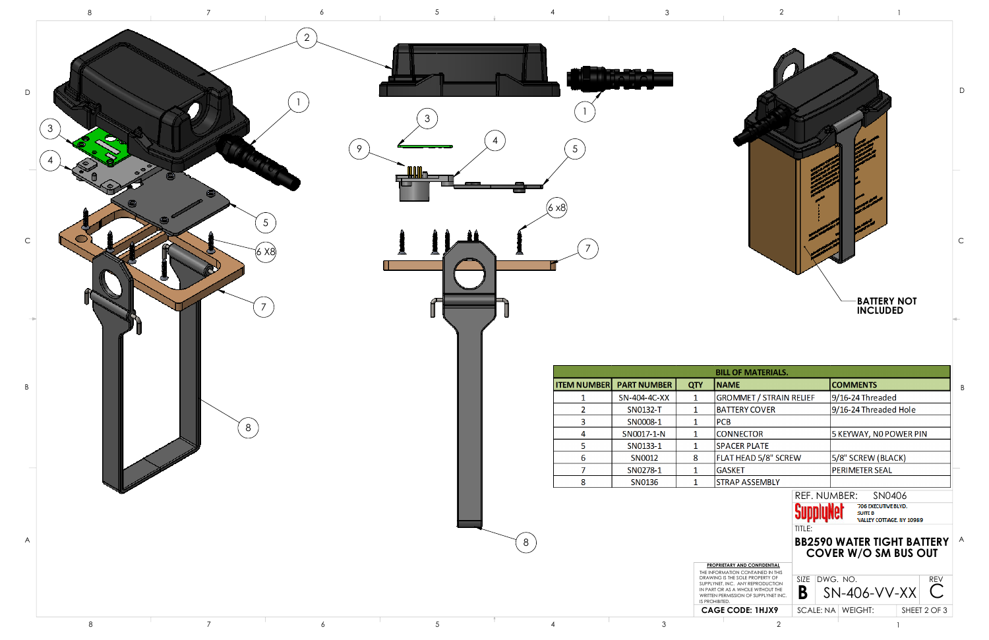| L OF MATERIALS.                                             |             |  |                                            |              |            |  |
|-------------------------------------------------------------|-------------|--|--------------------------------------------|--------------|------------|--|
| МE                                                          |             |  | <b>COMMENTS</b>                            |              |            |  |
| OMMET / STRAIN RELIEF                                       |             |  | 9/16-24 Threaded                           |              |            |  |
| <b>TTERY COVER</b>                                          |             |  | 9/16-24 Threaded Hole                      |              |            |  |
| 3                                                           |             |  |                                            |              |            |  |
| <b>NNECTOR</b>                                              |             |  | 5 KEYWAY, NO POWER PIN                     |              |            |  |
| <b>ACER PLATE</b>                                           |             |  |                                            |              |            |  |
| T HEAD 5/8" SCREW                                           |             |  | 5/8" SCREW (BLACK)                         |              |            |  |
| SKET                                                        |             |  | <b>PERIMETER SEAL</b>                      |              |            |  |
| <b>AP ASSEMBLY</b>                                          |             |  |                                            |              |            |  |
|                                                             |             |  | REF. NUMBER: SN0406                        |              |            |  |
|                                                             |             |  | 706 EXECUTIVE BLVD.                        |              |            |  |
|                                                             | SupplyNet   |  | <b>SUITE B</b><br>VALLEY COTTAGE, NY 10989 |              |            |  |
|                                                             | TITLE:      |  |                                            |              |            |  |
|                                                             |             |  | <b>BB2590 WATER TIGHT BATTERY</b>          |              |            |  |
|                                                             |             |  | <b>COVER W/O SM BUS OUT</b>                |              |            |  |
| ARY AND CONFIDENTIAL                                        |             |  |                                            |              |            |  |
| ATION CONTAINED IN THIS<br>THE SOLE PROPERTY OF             | <b>SIZE</b> |  | DWG. NO.                                   |              | <b>REV</b> |  |
| <b>VC. ANY REPRODUCTION</b><br><b>S A WHOLE WITHOUT THE</b> | В           |  | $SN-406-VV-XX$                             |              |            |  |
| MISSION OF SUPPLYNET INC.                                   |             |  |                                            |              |            |  |
| <b>CODE: 1HJX9</b>                                          |             |  | SCALE: NA   WEIGHT:                        | SHEET 2 OF 3 |            |  |
|                                                             |             |  |                                            |              |            |  |